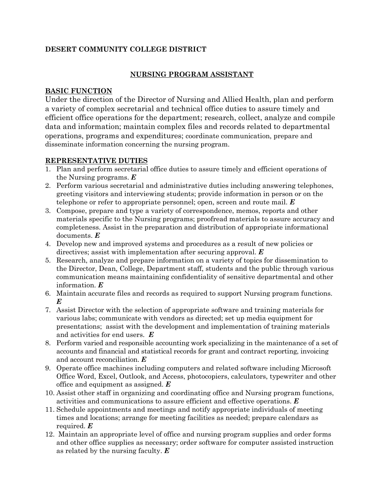## **DESERT COMMUNITY COLLEGE DISTRICT**

# **NURSING PROGRAM ASSISTANT**

### **BASIC FUNCTION**

Under the direction of the Director of Nursing and Allied Health, plan and perform a variety of complex secretarial and technical office duties to assure timely and efficient office operations for the department; research, collect, analyze and compile data and information; maintain complex files and records related to departmental operations, programs and expenditures; coordinate communication, prepare and disseminate information concerning the nursing program.

### **REPRESENTATIVE DUTIES**

- 1. Plan and perform secretarial office duties to assure timely and efficient operations of the Nursing programs. *E*
- 2. Perform various secretarial and administrative duties including answering telephones, greeting visitors and interviewing students; provide information in person or on the telephone or refer to appropriate personnel; open, screen and route mail. *E*
- 3. Compose, prepare and type a variety of correspondence, memos, reports and other materials specific to the Nursing programs; proofread materials to assure accuracy and completeness. Assist in the preparation and distribution of appropriate informational documents. *E*
- 4. Develop new and improved systems and procedures as a result of new policies or directives; assist with implementation after securing approval. *E*
- 5. Research, analyze and prepare information on a variety of topics for dissemination to the Director, Dean, College, Department staff, students and the public through various communication means maintaining confidentiality of sensitive departmental and other information. *E*
- 6. Maintain accurate files and records as required to support Nursing program functions. *E*
- 7. Assist Director with the selection of appropriate software and training materials for various labs; communicate with vendors as directed; set up media equipment for presentations; assist with the development and implementation of training materials and activities for end users. *E*
- 8. Perform varied and responsible accounting work specializing in the maintenance of a set of accounts and financial and statistical records for grant and contract reporting, invoicing and account reconciliation. *E*
- 9. Operate office machines including computers and related software including Microsoft Office Word, Excel, Outlook, and Access, photocopiers, calculators, typewriter and other office and equipment as assigned. *E*
- 10. Assist other staff in organizing and coordinating office and Nursing program functions, activities and communications to assure efficient and effective operations. *E*
- 11. Schedule appointments and meetings and notify appropriate individuals of meeting times and locations; arrange for meeting facilities as needed; prepare calendars as required. *E*
- 12. Maintain an appropriate level of office and nursing program supplies and order forms and other office supplies as necessary; order software for computer assisted instruction as related by the nursing faculty. *E*